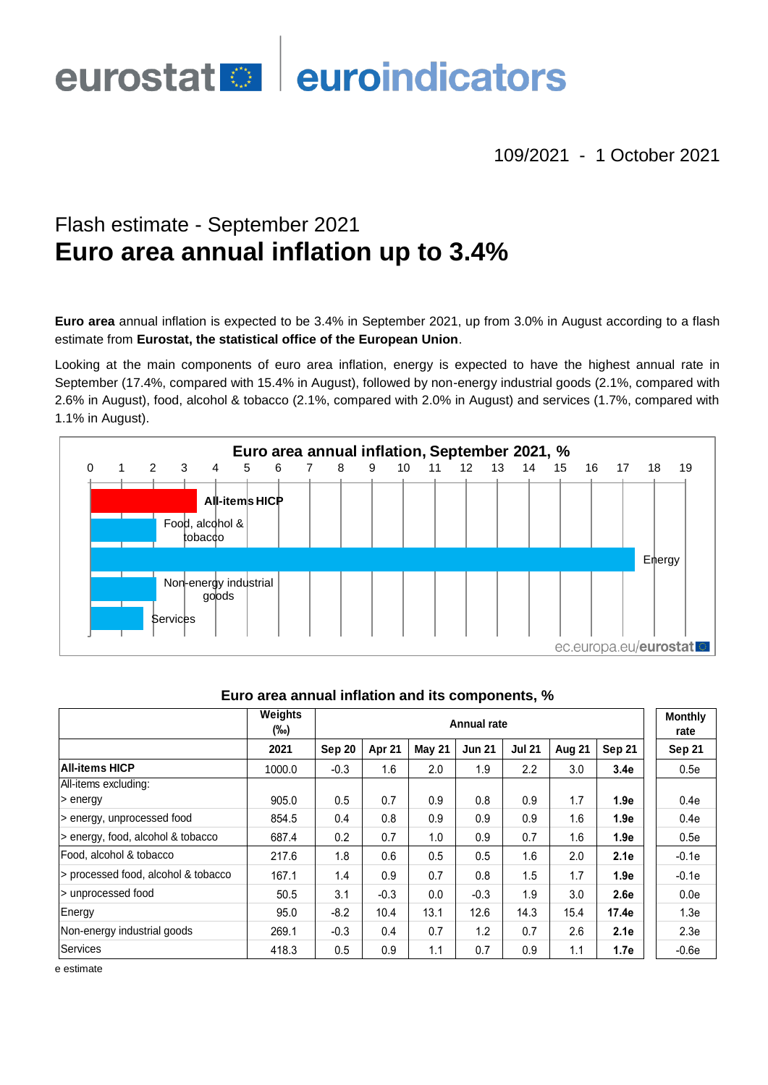# euroindicators eurostat<sup>o</sup>

109/2021 - 1 October 2021

# Flash estimate - September 2021 **Euro area annual inflation up to 3.4%**

**Euro area** annual inflation is expected to be 3.4% in September 2021, up from 3.0% in August according to a flash estimate from **Eurostat, the statistical office of the European Union**.

Looking at the main components of euro area inflation, energy is expected to have the highest annual rate in September (17.4%, compared with 15.4% in August), followed by non-energy industrial goods (2.1%, compared with 2.6% in August), food, alcohol & tobacco (2.1%, compared with 2.0% in August) and services (1.7%, compared with 1.1% in August).



|                                     | Weights<br>(‰) | <b>Annual rate</b> |        |               |               |               |        |        | <b>Monthly</b><br>rate |
|-------------------------------------|----------------|--------------------|--------|---------------|---------------|---------------|--------|--------|------------------------|
|                                     | 2021           | Sep 20             | Apr 21 | <b>May 21</b> | <b>Jun 21</b> | <b>Jul 21</b> | Aug 21 | Sep 21 | Sep 21                 |
| <b>All-items HICP</b>               | 1000.0         | $-0.3$             | 1.6    | 2.0           | 1.9           | 2.2           | 3.0    | 3.4e   | 0.5e                   |
| All-items excluding:                |                |                    |        |               |               |               |        |        |                        |
| > energy                            | 905.0          | 0.5                | 0.7    | 0.9           | 0.8           | 0.9           | 1.7    | 1.9e   | 0.4e                   |
| > energy, unprocessed food          | 854.5          | 0.4                | 0.8    | 0.9           | 0.9           | 0.9           | 1.6    | 1.9e   | 0.4e                   |
| > energy, food, alcohol & tobacco   | 687.4          | 0.2                | 0.7    | 1.0           | 0.9           | 0.7           | 1.6    | 1.9e   | 0.5e                   |
| Food, alcohol & tobacco             | 217.6          | 1.8                | 0.6    | 0.5           | 0.5           | 1.6           | 2.0    | 2.1e   | $-0.1e$                |
| > processed food, alcohol & tobacco | 167.1          | 1.4                | 0.9    | 0.7           | 0.8           | 1.5           | 1.7    | 1.9e   | $-0.1e$                |
| > unprocessed food                  | 50.5           | 3.1                | $-0.3$ | 0.0           | $-0.3$        | 1.9           | 3.0    | 2.6e   | 0.0e                   |
| Energy                              | 95.0           | $-8.2$             | 10.4   | 13.1          | 12.6          | 14.3          | 15.4   | 17.4e  | 1.3 <sub>e</sub>       |
| Non-energy industrial goods         | 269.1          | $-0.3$             | 0.4    | 0.7           | 1.2           | 0.7           | 2.6    | 2.1e   | 2.3e                   |
| Services                            | 418.3          | 0.5                | 0.9    | 1.1           | 0.7           | 0.9           | 1.1    | 1.7e   | $-0.6e$                |

## **Euro area annual inflation and its components, %**

e estimate